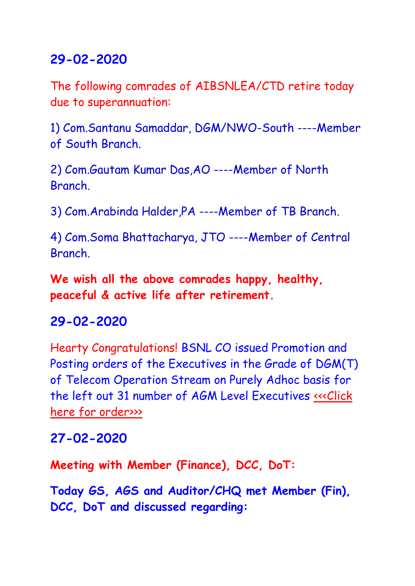The following comrades of AIBSNLEA/CTD retire today due to superannuation:

1) Com.Santanu Samaddar, DGM/NWO-South ----Member of South Branch.

2) Com.Gautam Kumar Das,AO ----Member of North **Branch** 

3) Com.Arabinda Halder,PA ----Member of TB Branch.

4) Com.Soma Bhattacharya, JTO ----Member of Central Branch.

**We wish all the above comrades happy, healthy, peaceful & active life after retirement.**

### **29-02-2020**

Hearty Congratulations! BSNL CO issued Promotion and Posting orders of the Executives in the Grade of DGM(T) of Telecom Operation Stream on Purely Adhoc basis for the left out 31 number of AGM Level Executives «<< Click [here for order>>>](http://www.aibsnleachq.in/dgmt-prmn29.02.2020.pdf)

### **27-02-2020**

**Meeting with Member (Finance), DCC, DoT:**

**Today GS, AGS and Auditor/CHQ met Member (Fin), DCC, DoT and discussed regarding:**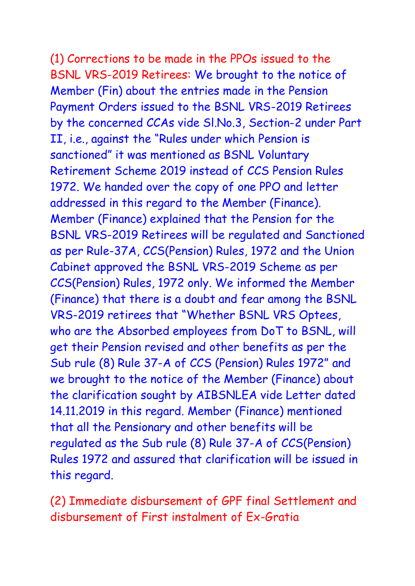(1) Corrections to be made in the PPOs issued to the BSNL VRS-2019 Retirees: We brought to the notice of Member (Fin) about the entries made in the Pension Payment Orders issued to the BSNL VRS-2019 Retirees by the concerned CCAs vide Sl.No.3, Section-2 under Part II, i.e., against the "Rules under which Pension is sanctioned" it was mentioned as BSNL Voluntary Retirement Scheme 2019 instead of CCS Pension Rules 1972. We handed over the copy of one PPO and letter addressed in this regard to the Member (Finance). Member (Finance) explained that the Pension for the BSNL VRS-2019 Retirees will be regulated and Sanctioned as per Rule-37A, CCS(Pension) Rules, 1972 and the Union Cabinet approved the BSNL VRS-2019 Scheme as per CCS(Pension) Rules, 1972 only. We informed the Member (Finance) that there is a doubt and fear among the BSNL VRS-2019 retirees that "Whether BSNL VRS Optees, who are the Absorbed employees from DoT to BSNL, will get their Pension revised and other benefits as per the Sub rule (8) Rule 37-A of CCS (Pension) Rules 1972" and we brought to the notice of the Member (Finance) about the clarification sought by AIBSNLEA vide Letter dated 14.11.2019 in this regard. Member (Finance) mentioned that all the Pensionary and other benefits will be regulated as the Sub rule (8) Rule 37-A of CCS(Pension) Rules 1972 and assured that clarification will be issued in this regard.

(2) Immediate disbursement of GPF final Settlement and disbursement of First instalment of Ex-Gratia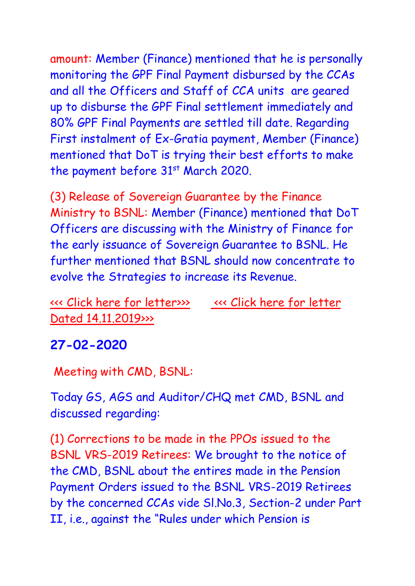amount: Member (Finance) mentioned that he is personally monitoring the GPF Final Payment disbursed by the CCAs and all the Officers and Staff of CCA units are geared up to disburse the GPF Final settlement immediately and 80% GPF Final Payments are settled till date. Regarding First instalment of Ex-Gratia payment, Member (Finance) mentioned that DoT is trying their best efforts to make the payment before  $31<sup>st</sup>$  March 2020.

(3) Release of Sovereign Guarantee by the Finance Ministry to BSNL: Member (Finance) mentioned that DoT Officers are discussing with the Ministry of Finance for the early issuance of Sovereign Guarantee to BSNL. He further mentioned that BSNL should now concentrate to evolve the Strategies to increase its Revenue.

[<<< Click here for](http://www.aibsnleachq.in/DOT_270220.pdf) letter>>> [<<< Click here for](http://www.aibsnleachq.in/Clafication-%20on%20VRS_270220.pdf) letter [Dated 14.11.2019>>>](http://www.aibsnleachq.in/Clafication-%20on%20VRS_270220.pdf)

### **27-02-2020**

Meeting with CMD, BSNL:

Today GS, AGS and Auditor/CHQ met CMD, BSNL and discussed regarding:

(1) Corrections to be made in the PPOs issued to the BSNL VRS-2019 Retirees: We brought to the notice of the CMD, BSNL about the entires made in the Pension Payment Orders issued to the BSNL VRS-2019 Retirees by the concerned CCAs vide Sl.No.3, Section-2 under Part II, i.e., against the "Rules under which Pension is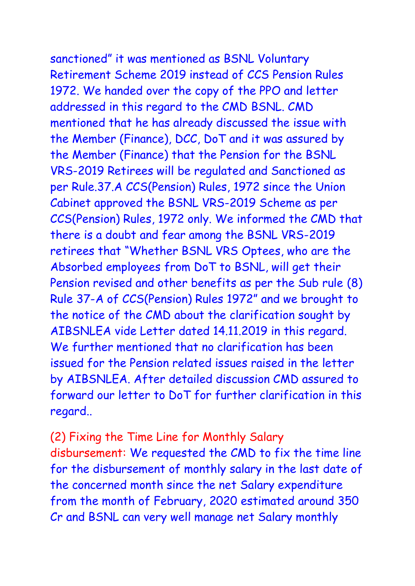sanctioned" it was mentioned as BSNL Voluntary Retirement Scheme 2019 instead of CCS Pension Rules 1972. We handed over the copy of the PPO and letter addressed in this regard to the CMD BSNL. CMD mentioned that he has already discussed the issue with the Member (Finance), DCC, DoT and it was assured by the Member (Finance) that the Pension for the BSNL VRS-2019 Retirees will be regulated and Sanctioned as per Rule.37.A CCS(Pension) Rules, 1972 since the Union Cabinet approved the BSNL VRS-2019 Scheme as per CCS(Pension) Rules, 1972 only. We informed the CMD that there is a doubt and fear among the BSNL VRS-2019 retirees that "Whether BSNL VRS Optees, who are the Absorbed employees from DoT to BSNL, will get their Pension revised and other benefits as per the Sub rule (8) Rule 37-A of CCS(Pension) Rules 1972" and we brought to the notice of the CMD about the clarification sought by AIBSNLEA vide Letter dated 14.11.2019 in this regard. We further mentioned that no clarification has been issued for the Pension related issues raised in the letter by AIBSNLEA. After detailed discussion CMD assured to forward our letter to DoT for further clarification in this regard..

(2) Fixing the Time Line for Monthly Salary disbursement: We requested the CMD to fix the time line for the disbursement of monthly salary in the last date of the concerned month since the net Salary expenditure from the month of February, 2020 estimated around 350 Cr and BSNL can very well manage net Salary monthly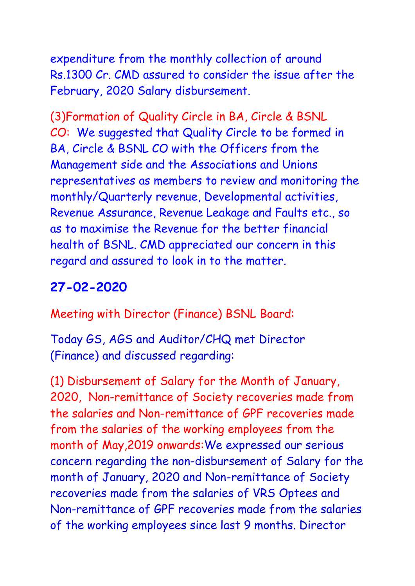expenditure from the monthly collection of around Rs.1300 Cr. CMD assured to consider the issue after the February, 2020 Salary disbursement.

(3)Formation of Quality Circle in BA, Circle & BSNL CO: We suggested that Quality Circle to be formed in BA, Circle & BSNL CO with the Officers from the Management side and the Associations and Unions representatives as members to review and monitoring the monthly/Quarterly revenue, Developmental activities, Revenue Assurance, Revenue Leakage and Faults etc., so as to maximise the Revenue for the better financial health of BSNL. CMD appreciated our concern in this regard and assured to look in to the matter.

## **27-02-2020**

Meeting with Director (Finance) BSNL Board:

Today GS, AGS and Auditor/CHQ met Director (Finance) and discussed regarding:

(1) Disbursement of Salary for the Month of January, 2020, Non-remittance of Society recoveries made from the salaries and Non-remittance of GPF recoveries made from the salaries of the working employees from the month of May,2019 onwards:We expressed our serious concern regarding the non-disbursement of Salary for the month of January, 2020 and Non-remittance of Society recoveries made from the salaries of VRS Optees and Non-remittance of GPF recoveries made from the salaries of the working employees since last 9 months. Director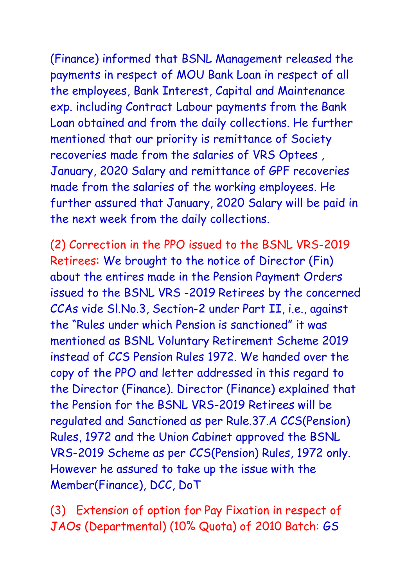(Finance) informed that BSNL Management released the payments in respect of MOU Bank Loan in respect of all the employees, Bank Interest, Capital and Maintenance exp. including Contract Labour payments from the Bank Loan obtained and from the daily collections. He further mentioned that our priority is remittance of Society recoveries made from the salaries of VRS Optees , January, 2020 Salary and remittance of GPF recoveries made from the salaries of the working employees. He further assured that January, 2020 Salary will be paid in the next week from the daily collections.

(2) Correction in the PPO issued to the BSNL VRS-2019 Retirees: We brought to the notice of Director (Fin) about the entires made in the Pension Payment Orders issued to the BSNL VRS -2019 Retirees by the concerned CCAs vide Sl.No.3, Section-2 under Part II, i.e., against the "Rules under which Pension is sanctioned" it was mentioned as BSNL Voluntary Retirement Scheme 2019 instead of CCS Pension Rules 1972. We handed over the copy of the PPO and letter addressed in this regard to the Director (Finance). Director (Finance) explained that the Pension for the BSNL VRS-2019 Retirees will be regulated and Sanctioned as per Rule.37.A CCS(Pension) Rules, 1972 and the Union Cabinet approved the BSNL VRS-2019 Scheme as per CCS(Pension) Rules, 1972 only. However he assured to take up the issue with the Member(Finance), DCC, DoT

(3) Extension of option for Pay Fixation in respect of JAOs (Departmental) (10% Quota) of 2010 Batch: GS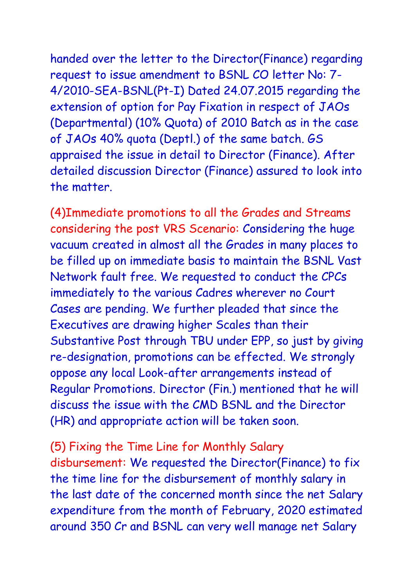handed over the letter to the Director(Finance) regarding request to issue amendment to BSNL CO letter No: 7- 4/2010-SEA-BSNL(Pt-I) Dated 24.07.2015 regarding the extension of option for Pay Fixation in respect of JAOs (Departmental) (10% Quota) of 2010 Batch as in the case of JAOs 40% quota (Deptl.) of the same batch. GS appraised the issue in detail to Director (Finance). After detailed discussion Director (Finance) assured to look into the matter.

(4)Immediate promotions to all the Grades and Streams considering the post VRS Scenario: Considering the huge vacuum created in almost all the Grades in many places to be filled up on immediate basis to maintain the BSNL Vast Network fault free. We requested to conduct the CPCs immediately to the various Cadres wherever no Court Cases are pending. We further pleaded that since the Executives are drawing higher Scales than their Substantive Post through TBU under EPP, so just by giving re-designation, promotions can be effected. We strongly oppose any local Look-after arrangements instead of Regular Promotions. Director (Fin.) mentioned that he will discuss the issue with the CMD BSNL and the Director (HR) and appropriate action will be taken soon.

# (5) Fixing the Time Line for Monthly Salary

disbursement: We requested the Director(Finance) to fix the time line for the disbursement of monthly salary in the last date of the concerned month since the net Salary expenditure from the month of February, 2020 estimated around 350 Cr and BSNL can very well manage net Salary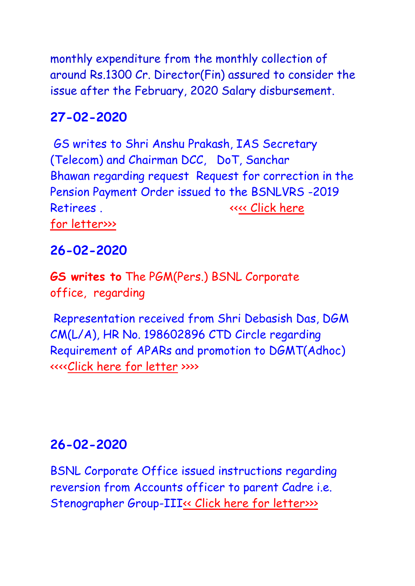monthly expenditure from the monthly collection of around Rs.1300 Cr. Director(Fin) assured to consider the issue after the February, 2020 Salary disbursement.

### **27-02-2020**

GS writes to Shri Anshu Prakash, IAS Secretary (Telecom) and Chairman DCC, DoT, Sanchar Bhawan regarding request Request for correction in the Pension Payment Order issued to the BSNLVRS -2019 Retirees . The contract of the contract of the Retire of the contract of the contract of the contract of the contract of the contract of the contract of the contract of the contract of the contract of the contract of the c for [letter>>>](http://www.aibsnleachq.in/DOT_270220.pdf)

## **26-02-2020**

**GS writes to** The PGM(Pers.) BSNL Corporate office, regarding

Representation received from Shri Debasish Das, DGM CM(L/A), HR No. 198602896 CTD Circle regarding Requirement of APARs and promotion to DGMT(Adhoc) <<<[<Click here for letter](PGMP_200225.pdf) >>>>

## **26-02-2020**

BSNL Corporate Office issued instructions regarding reversion from Accounts officer to parent Cadre i.e. Stenographer Group-III<sup><<</sup> Click here for letter>>>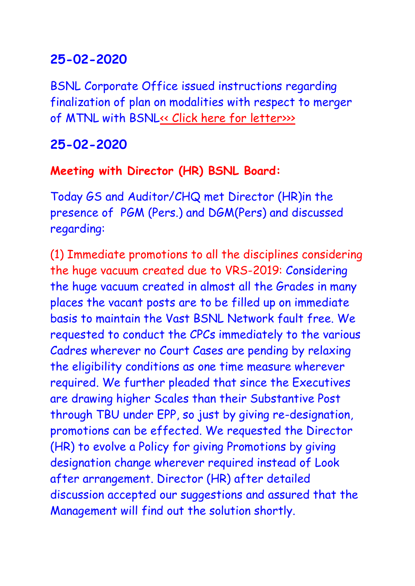BSNL Corporate Office issued instructions regarding finalization of plan on modalities with respect to merger of MTNL with BSN[L<< Click here for](http://www.aibsnleachq.in/merger%20of%20mtnl%20with%20bsnl.pdf) letter>>>

## **25-02-2020**

### **Meeting with Director (HR) BSNL Board:**

Today GS and Auditor/CHQ met Director (HR)in the presence of PGM (Pers.) and DGM(Pers) and discussed regarding:

(1) Immediate promotions to all the disciplines considering the huge vacuum created due to VRS-2019: Considering the huge vacuum created in almost all the Grades in many places the vacant posts are to be filled up on immediate basis to maintain the Vast BSNL Network fault free. We requested to conduct the CPCs immediately to the various Cadres wherever no Court Cases are pending by relaxing the eligibility conditions as one time measure wherever required. We further pleaded that since the Executives are drawing higher Scales than their Substantive Post through TBU under EPP, so just by giving re-designation, promotions can be effected. We requested the Director (HR) to evolve a Policy for giving Promotions by giving designation change wherever required instead of Look after arrangement. Director (HR) after detailed discussion accepted our suggestions and assured that the Management will find out the solution shortly.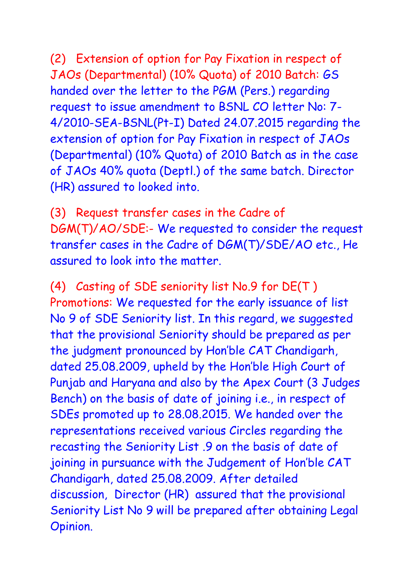(2) Extension of option for Pay Fixation in respect of JAOs (Departmental) (10% Quota) of 2010 Batch: GS handed over the letter to the PGM (Pers.) regarding request to issue amendment to BSNL CO letter No: 7- 4/2010-SEA-BSNL(Pt-I) Dated 24.07.2015 regarding the extension of option for Pay Fixation in respect of JAOs (Departmental) (10% Quota) of 2010 Batch as in the case of JAOs 40% quota (Deptl.) of the same batch. Director (HR) assured to looked into.

(3) Request transfer cases in the Cadre of DGM(T)/AO/SDE:- We requested to consider the request transfer cases in the Cadre of DGM(T)/SDE/AO etc., He assured to look into the matter.

(4) Casting of SDE seniority list No.9 for DE(T ) Promotions: We requested for the early issuance of list No 9 of SDE Seniority list. In this regard, we suggested that the provisional Seniority should be prepared as per the judgment pronounced by Hon'ble CAT Chandigarh, dated 25.08.2009, upheld by the Hon'ble High Court of Punjab and Haryana and also by the Apex Court (3 Judges Bench) on the basis of date of joining i.e., in respect of SDEs promoted up to 28.08.2015. We handed over the representations received various Circles regarding the recasting the Seniority List .9 on the basis of date of joining in pursuance with the Judgement of Hon'ble CAT Chandigarh, dated 25.08.2009. After detailed discussion, Director (HR) assured that the provisional Seniority List No 9 will be prepared after obtaining Legal Opinion.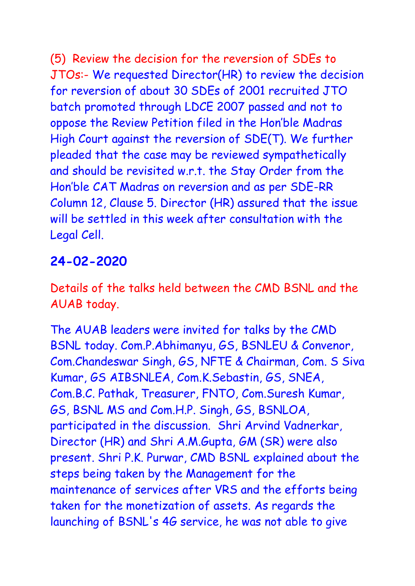(5) Review the decision for the reversion of SDEs to JTOs:- We requested Director(HR) to review the decision for reversion of about 30 SDEs of 2001 recruited JTO batch promoted through LDCE 2007 passed and not to oppose the Review Petition filed in the Hon'ble Madras High Court against the reversion of SDE(T). We further pleaded that the case may be reviewed sympathetically and should be revisited w.r.t. the Stay Order from the Hon'ble CAT Madras on reversion and as per SDE-RR Column 12, Clause 5. Director (HR) assured that the issue will be settled in this week after consultation with the Legal Cell.

## **24-02-2020**

Details of the talks held between the CMD BSNL and the AUAB today.

The AUAB leaders were invited for talks by the CMD BSNL today. Com.P.Abhimanyu, GS, BSNLEU & Convenor, Com.Chandeswar Singh, GS, NFTE & Chairman, Com. S Siva Kumar, GS AIBSNLEA, Com.K.Sebastin, GS, SNEA, Com.B.C. Pathak, Treasurer, FNTO, Com.Suresh Kumar, GS, BSNL MS and Com.H.P. Singh, GS, BSNLOA, participated in the discussion. Shri Arvind Vadnerkar, Director (HR) and Shri A.M.Gupta, GM (SR) were also present. Shri P.K. Purwar, CMD BSNL explained about the steps being taken by the Management for the maintenance of services after VRS and the efforts being taken for the monetization of assets. As regards the launching of BSNL's 4G service, he was not able to give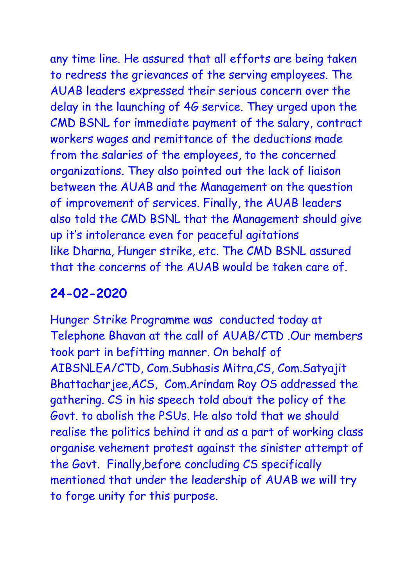any time line. He assured that all efforts are being taken to redress the grievances of the serving employees. The AUAB leaders expressed their serious concern over the delay in the launching of 4G service. They urged upon the CMD BSNL for immediate payment of the salary, contract workers wages and remittance of the deductions made from the salaries of the employees, to the concerned organizations. They also pointed out the lack of liaison between the AUAB and the Management on the question of improvement of services. Finally, the AUAB leaders also told the CMD BSNL that the Management should give up it's intolerance even for peaceful agitations like Dharna, Hunger strike, etc. The CMD BSNL assured that the concerns of the AUAB would be taken care of.

### **24-02-2020**

Hunger Strike Programme was conducted today at Telephone Bhavan at the call of AUAB/CTD .Our members took part in befitting manner. On behalf of AIBSNLEA/CTD, Com.Subhasis Mitra,CS, Com.Satyajit Bhattacharjee,ACS, Com.Arindam Roy OS addressed the gathering. CS in his speech told about the policy of the Govt. to abolish the PSUs. He also told that we should realise the politics behind it and as a part of working class organise vehement protest against the sinister attempt of the Govt. Finally,before concluding CS specifically mentioned that under the leadership of AUAB we will try to forge unity for this purpose.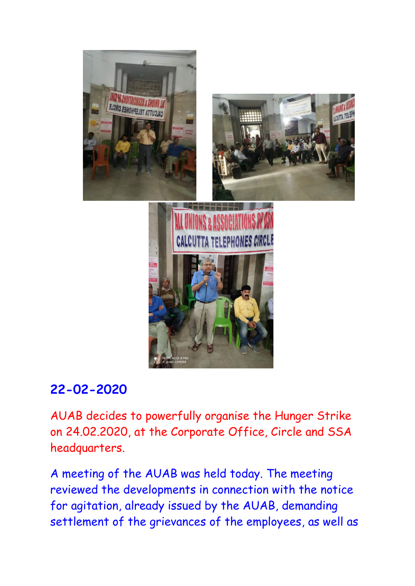

AUAB decides to powerfully organise the Hunger Strike on 24.02.2020, at the Corporate Office, Circle and SSA headquarters.

A meeting of the AUAB was held today. The meeting reviewed the developments in connection with the notice for agitation, already issued by the AUAB, demanding settlement of the grievances of the employees, as well as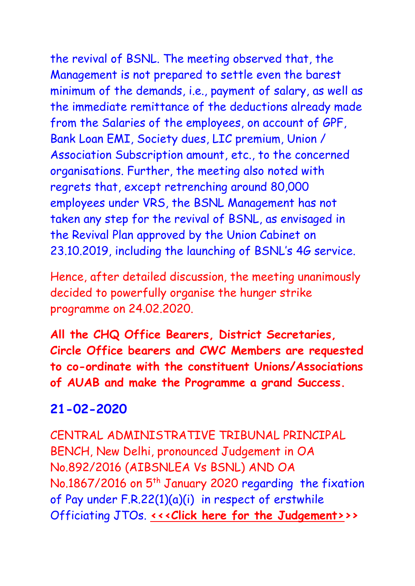the revival of BSNL. The meeting observed that, the Management is not prepared to settle even the barest minimum of the demands, i.e., payment of salary, as well as the immediate remittance of the deductions already made from the Salaries of the employees, on account of GPF, Bank Loan EMI, Society dues, LIC premium, Union / Association Subscription amount, etc., to the concerned organisations. Further, the meeting also noted with regrets that, except retrenching around 80,000 employees under VRS, the BSNL Management has not taken any step for the revival of BSNL, as envisaged in the Revival Plan approved by the Union Cabinet on 23.10.2019, including the launching of BSNL's 4G service.

Hence, after detailed discussion, the meeting unanimously decided to powerfully organise the hunger strike programme on 24.02.2020.

**All the CHQ Office Bearers, District Secretaries, Circle Office bearers and CWC Members are requested to co-ordinate with the constituent Unions/Associations of AUAB and make the Programme a grand Success.**

### **21-02-2020**

CENTRAL ADMINISTRATIVE TRIBUNAL PRINCIPAL BENCH, New Delhi, pronounced Judgement in OA No.892/2016 (AIBSNLEA Vs BSNL) AND OA No.1867/2016 on 5<sup>th</sup> January 2020 regarding the fixation of Pay under F.R.22(1)(a)(i) in respect of erstwhile Officiating JTOs. **[<<<Click here for the Judgement>>](http://www.aibsnleachq.in/PCAT_ORDER_892.pdf)>**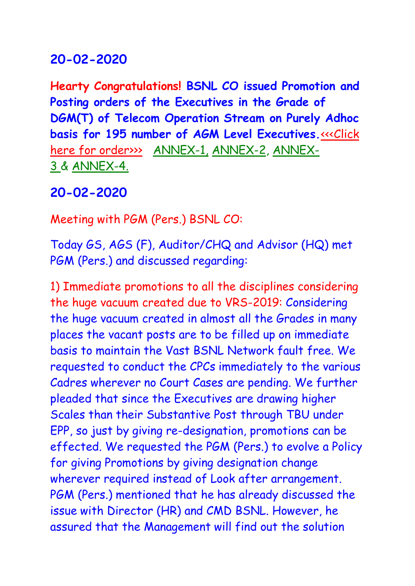**Hearty Congratulations! BSNL CO issued Promotion and Posting orders of the Executives in the Grade of DGM(T) of Telecom Operation Stream on Purely Adhoc basis for 195 number of AGM Level Executives.<<<Click** [here for order>>>](http://www.aibsnleachq.in/PRMN%20ORDER-DGM.pdf) [ANNEX-1,](http://www.aibsnleachq.in/PRMN%20ORDER-DGM-ANX1.pdf) [ANNEX-2,](http://www.aibsnleachq.in/PRMN%20ORDER-DGM-ANX-2.pdf) [ANNEX-](http://www.aibsnleachq.in/PRMN%20ORDER-DGM-ANX-3.pdf)[3](http://www.aibsnleachq.in/PRMN%20ORDER-DGM-ANX-3.pdf) & [ANNEX-4.](http://www.aibsnleachq.in/PRMN%20ORDER-DGM-ANX-4.pdf)

## **20-02-2020**

Meeting with PGM (Pers.) BSNL CO:

Today GS, AGS (F), Auditor/CHQ and Advisor (HQ) met PGM (Pers.) and discussed regarding:

1) Immediate promotions to all the disciplines considering the huge vacuum created due to VRS-2019: Considering the huge vacuum created in almost all the Grades in many places the vacant posts are to be filled up on immediate basis to maintain the Vast BSNL Network fault free. We requested to conduct the CPCs immediately to the various Cadres wherever no Court Cases are pending. We further pleaded that since the Executives are drawing higher Scales than their Substantive Post through TBU under EPP, so just by giving re-designation, promotions can be effected. We requested the PGM (Pers.) to evolve a Policy for giving Promotions by giving designation change wherever required instead of Look after arrangement. PGM (Pers.) mentioned that he has already discussed the issue with Director (HR) and CMD BSNL. However, he assured that the Management will find out the solution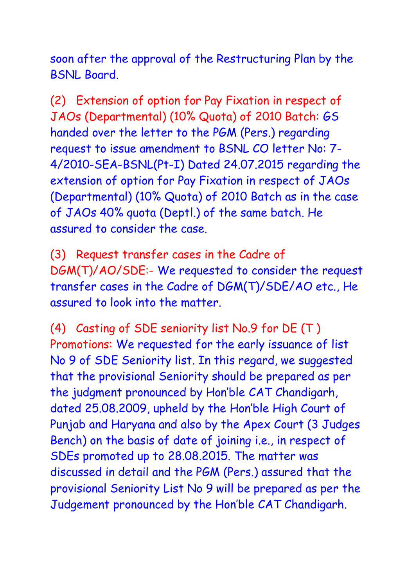soon after the approval of the Restructuring Plan by the BSNL Board.

(2) Extension of option for Pay Fixation in respect of JAOs (Departmental) (10% Quota) of 2010 Batch: GS handed over the letter to the PGM (Pers.) regarding request to issue amendment to BSNL CO letter No: 7- 4/2010-SEA-BSNL(Pt-I) Dated 24.07.2015 regarding the extension of option for Pay Fixation in respect of JAOs (Departmental) (10% Quota) of 2010 Batch as in the case of JAOs 40% quota (Deptl.) of the same batch. He assured to consider the case.

(3) Request transfer cases in the Cadre of DGM(T)/AO/SDE:- We requested to consider the request transfer cases in the Cadre of DGM(T)/SDE/AO etc., He assured to look into the matter.

(4) Casting of SDE seniority list No.9 for DE (T ) Promotions: We requested for the early issuance of list No 9 of SDE Seniority list. In this regard, we suggested that the provisional Seniority should be prepared as per the judgment pronounced by Hon'ble CAT Chandigarh, dated 25.08.2009, upheld by the Hon'ble High Court of Punjab and Haryana and also by the Apex Court (3 Judges Bench) on the basis of date of joining i.e., in respect of SDEs promoted up to 28.08.2015. The matter was discussed in detail and the PGM (Pers.) assured that the provisional Seniority List No 9 will be prepared as per the Judgement pronounced by the Hon'ble CAT Chandigarh.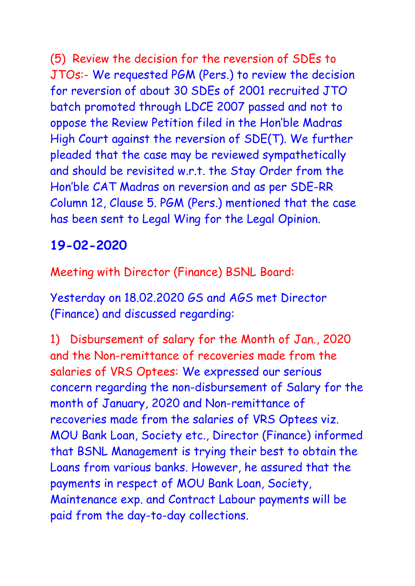(5) Review the decision for the reversion of SDEs to JTOs:- We requested PGM (Pers.) to review the decision for reversion of about 30 SDEs of 2001 recruited JTO batch promoted through LDCE 2007 passed and not to oppose the Review Petition filed in the Hon'ble Madras High Court against the reversion of SDE(T). We further pleaded that the case may be reviewed sympathetically and should be revisited w.r.t. the Stay Order from the Hon'ble CAT Madras on reversion and as per SDE-RR Column 12, Clause 5. PGM (Pers.) mentioned that the case has been sent to Legal Wing for the Legal Opinion.

# **19-02-2020**

Meeting with Director (Finance) BSNL Board:

Yesterday on 18.02.2020 GS and AGS met Director (Finance) and discussed regarding:

1) Disbursement of salary for the Month of Jan., 2020 and the Non-remittance of recoveries made from the salaries of VRS Optees: We expressed our serious concern regarding the non-disbursement of Salary for the month of January, 2020 and Non-remittance of recoveries made from the salaries of VRS Optees viz. MOU Bank Loan, Society etc., Director (Finance) informed that BSNL Management is trying their best to obtain the Loans from various banks. However, he assured that the payments in respect of MOU Bank Loan, Society, Maintenance exp. and Contract Labour payments will be paid from the day-to-day collections.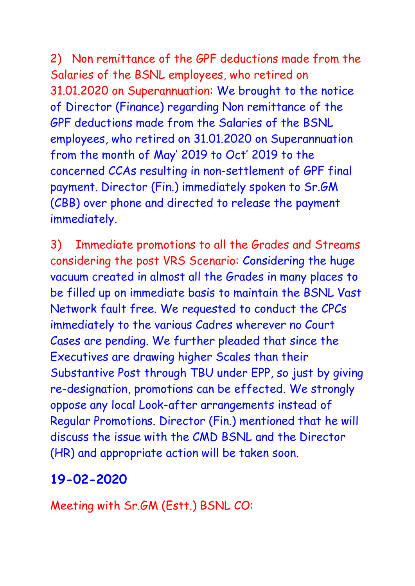2) Non remittance of the GPF deductions made from the Salaries of the BSNL employees, who retired on 31.01.2020 on Superannuation: We brought to the notice of Director (Finance) regarding Non remittance of the GPF deductions made from the Salaries of the BSNL employees, who retired on 31.01.2020 on Superannuation from the month of May' 2019 to Oct' 2019 to the concerned CCAs resulting in non-settlement of GPF final payment. Director (Fin.) immediately spoken to Sr.GM (CBB) over phone and directed to release the payment immediately.

3) Immediate promotions to all the Grades and Streams considering the post VRS Scenario: Considering the huge vacuum created in almost all the Grades in many places to be filled up on immediate basis to maintain the BSNL Vast Network fault free. We requested to conduct the CPCs immediately to the various Cadres wherever no Court Cases are pending. We further pleaded that since the Executives are drawing higher Scales than their Substantive Post through TBU under EPP, so just by giving re-designation, promotions can be effected. We strongly oppose any local Look-after arrangements instead of Regular Promotions. Director (Fin.) mentioned that he will discuss the issue with the CMD BSNL and the Director (HR) and appropriate action will be taken soon.

# **19-02-2020**

Meeting with Sr.GM (Estt.) BSNL CO: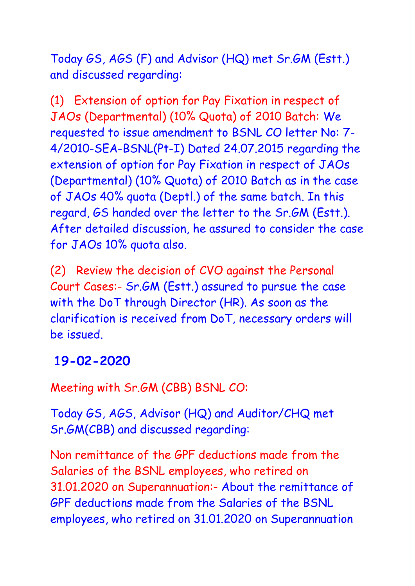Today GS, AGS (F) and Advisor (HQ) met Sr.GM (Estt.) and discussed regarding:

(1) Extension of option for Pay Fixation in respect of JAOs (Departmental) (10% Quota) of 2010 Batch: We requested to issue amendment to BSNL CO letter No: 7- 4/2010-SEA-BSNL(Pt-I) Dated 24.07.2015 regarding the extension of option for Pay Fixation in respect of JAOs (Departmental) (10% Quota) of 2010 Batch as in the case of JAOs 40% quota (Deptl.) of the same batch. In this regard, GS handed over the letter to the Sr.GM (Estt.). After detailed discussion, he assured to consider the case for JAOs 10% quota also.

(2) Review the decision of CVO against the Personal Court Cases:- Sr.GM (Estt.) assured to pursue the case with the DoT through Director (HR). As soon as the clarification is received from DoT, necessary orders will be issued.

### **19-02-2020**

Meeting with Sr.GM (CBB) BSNL CO:

Today GS, AGS, Advisor (HQ) and Auditor/CHQ met Sr.GM(CBB) and discussed regarding:

Non remittance of the GPF deductions made from the Salaries of the BSNL employees, who retired on 31.01.2020 on Superannuation:- About the remittance of GPF deductions made from the Salaries of the BSNL employees, who retired on 31.01.2020 on Superannuation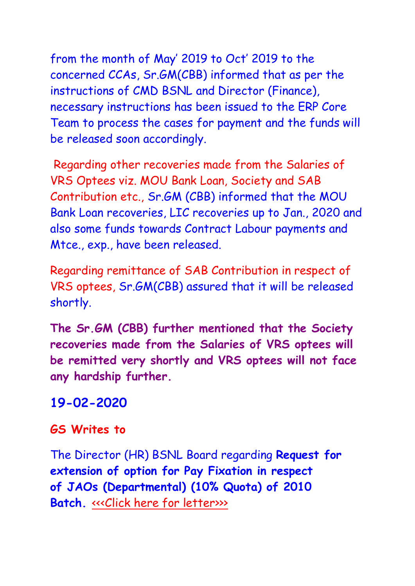from the month of May' 2019 to Oct' 2019 to the concerned CCAs, Sr.GM(CBB) informed that as per the instructions of CMD BSNL and Director (Finance), necessary instructions has been issued to the ERP Core Team to process the cases for payment and the funds will be released soon accordingly.

Regarding other recoveries made from the Salaries of VRS Optees viz. MOU Bank Loan, Society and SAB Contribution etc., Sr.GM (CBB) informed that the MOU Bank Loan recoveries, LIC recoveries up to Jan., 2020 and also some funds towards Contract Labour payments and Mtce., exp., have been released.

Regarding remittance of SAB Contribution in respect of VRS optees, Sr.GM(CBB) assured that it will be released shortly.

**The Sr.GM (CBB) further mentioned that the Society recoveries made from the Salaries of VRS optees will be remitted very shortly and VRS optees will not face any hardship further.**

### **19-02-2020**

#### **GS Writes to**

The Director (HR) BSNL Board regarding **Request for extension of option for Pay Fixation in respect of JAOs (Departmental) (10% Quota) of 2010 Batch.** «<< Click [here for letter>>>](http://www.aibsnleachq.in/Lr%20to%20Dir%20HR%20JAO%2010%25.pdf)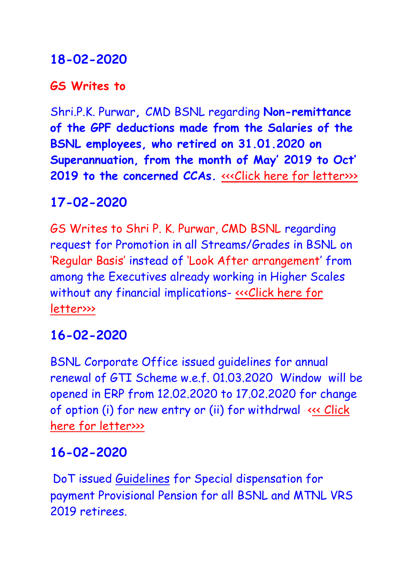### **GS Writes to**

Shri.P.K. Purwar**,** CMD BSNL regarding **Non-remittance of the GPF deductions made from the Salaries of the BSNL employees, who retired on 31.01.2020 on Superannuation, from the month of May' 2019 to Oct' 2019 to the concerned CCAs. <<< Click here for letter>>>** 

## **17-02-2020**

GS Writes to Shri P. K. Purwar, CMD BSNL regarding request for Promotion in all Streams/Grades in BSNL on 'Regular Basis' instead of 'Look After arrangement' from among the Executives already working in Higher Scales without any financial implications- «<< Click here for [letter>>>](http://www.aibsnleachq.in/ltr%20to%20CMD%20promotions.pdf)

## **16-02-2020**

BSNL Corporate Office issued guidelines for annual renewal of GTI Scheme w.e.f. 01.03.2020 Window will be opened in ERP from 12.02.2020 to 17.02.2020 for change of option (i) for new entry or (ii) for withdrwal [<<< Click](http://www.aibsnleachq.in/GTI%20Renew050220.pdf)  [here for](http://www.aibsnleachq.in/GTI%20Renew050220.pdf) letter>>>

## **16-02-2020**

DoT issued [Guidelines](http://www.sneaindia.com/files/Important%20Circulars/BSNL%20-%20Organisation%20%20restructuring/Merger%20of%20non%20territorial%20circles%20-%20Guidelines%20reg%2010-02-20.pdf) for Special dispensation for payment Provisional Pension for all BSNL and MTNL VRS 2019 retirees.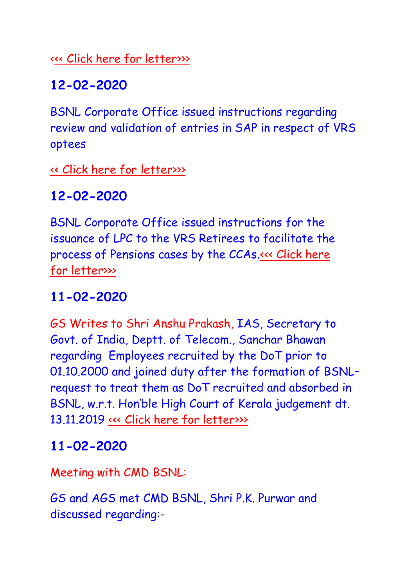[<<< Click here for](http://www.aibsnleachq.in/Provisional%20Pension%20Order%20dated%20140202020.pdf) letter>>>

## **12-02-2020**

BSNL Corporate Office issued instructions regarding review and validation of entries in SAP in respect of VRS optees

[<< Click here for](http://www.aibsnleachq.in/LEAVE%20EXGRATIA.pdf) letter>>>

# **12-02-2020**

BSNL Corporate Office issued instructions for the issuance of LPC to the VRS Retirees to facilitate the process of Pensions cases by the CCAs[.<<< Click here](http://www.aibsnleachq.in/5_6204157967915286674.pdf)  for [letter>>>](http://www.aibsnleachq.in/5_6204157967915286674.pdf)

# **11-02-2020**

GS Writes to Shri Anshu Prakash, IAS, Secretary to Govt. of India, Deptt. of Telecom., Sanchar Bhawan regarding Employees recruited by the DoT prior to 01.10.2000 and joined duty after the formation of BSNL– request to treat them as DoT recruited and absorbed in BSNL, w.r.t. Hon'ble High Court of Kerala judgement dt. 13.11.2019 [<<< Click here for](http://www.aibsnleachq.in/Sectuary_200211.pdf) letter>>>

## **11-02-2020**

Meeting with CMD BSNL:

GS and AGS met CMD BSNL, Shri P.K. Purwar and discussed regarding:-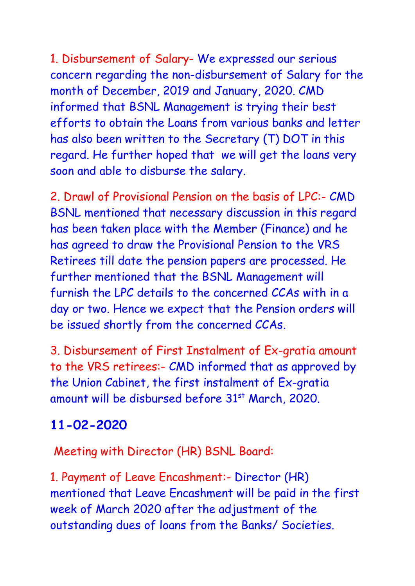1. Disbursement of Salary- We expressed our serious concern regarding the non-disbursement of Salary for the month of December, 2019 and January, 2020. CMD informed that BSNL Management is trying their best efforts to obtain the Loans from various banks and letter has also been written to the Secretary (T) DOT in this regard. He further hoped that we will get the loans very soon and able to disburse the salary.

2. Drawl of Provisional Pension on the basis of LPC:- CMD BSNL mentioned that necessary discussion in this regard has been taken place with the Member (Finance) and he has agreed to draw the Provisional Pension to the VRS Retirees till date the pension papers are processed. He further mentioned that the BSNL Management will furnish the LPC details to the concerned CCAs with in a day or two. Hence we expect that the Pension orders will be issued shortly from the concerned CCAs.

3. Disbursement of First Instalment of Ex-gratia amount to the VRS retirees:- CMD informed that as approved by the Union Cabinet, the first instalment of Ex-gratia amount will be disbursed before 31<sup>st</sup> March, 2020.

# **11-02-2020**

Meeting with Director (HR) BSNL Board:

1. Payment of Leave Encashment:- Director (HR) mentioned that Leave Encashment will be paid in the first week of March 2020 after the adjustment of the outstanding dues of loans from the Banks/ Societies.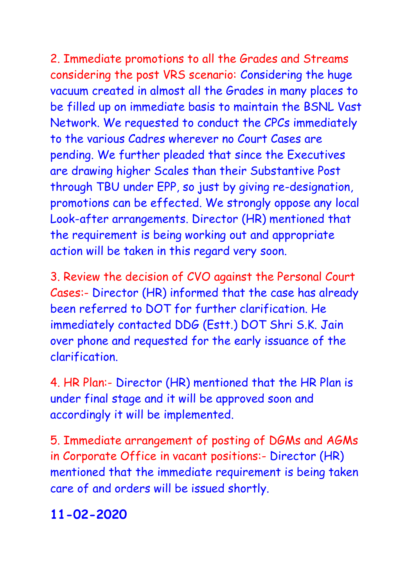2. Immediate promotions to all the Grades and Streams considering the post VRS scenario: Considering the huge vacuum created in almost all the Grades in many places to be filled up on immediate basis to maintain the BSNL Vast Network. We requested to conduct the CPCs immediately to the various Cadres wherever no Court Cases are pending. We further pleaded that since the Executives are drawing higher Scales than their Substantive Post through TBU under EPP, so just by giving re-designation, promotions can be effected. We strongly oppose any local Look-after arrangements. Director (HR) mentioned that the requirement is being working out and appropriate action will be taken in this regard very soon.

3. Review the decision of CVO against the Personal Court Cases:- Director (HR) informed that the case has already been referred to DOT for further clarification. He immediately contacted DDG (Estt.) DOT Shri S.K. Jain over phone and requested for the early issuance of the clarification.

4. HR Plan:- Director (HR) mentioned that the HR Plan is under final stage and it will be approved soon and accordingly it will be implemented.

5. Immediate arrangement of posting of DGMs and AGMs in Corporate Office in vacant positions:- Director (HR) mentioned that the immediate requirement is being taken care of and orders will be issued shortly.

## **11-02-2020**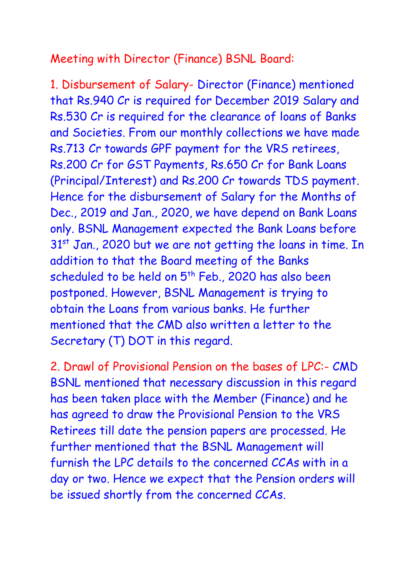### Meeting with Director (Finance) BSNL Board:

1. Disbursement of Salary- Director (Finance) mentioned that Rs.940 Cr is required for December 2019 Salary and Rs.530 Cr is required for the clearance of loans of Banks and Societies. From our monthly collections we have made Rs.713 Cr towards GPF payment for the VRS retirees, Rs.200 Cr for GST Payments, Rs.650 Cr for Bank Loans (Principal/Interest) and Rs.200 Cr towards TDS payment. Hence for the disbursement of Salary for the Months of Dec., 2019 and Jan., 2020, we have depend on Bank Loans only. BSNL Management expected the Bank Loans before 31<sup>st</sup> Jan., 2020 but we are not getting the loans in time. In addition to that the Board meeting of the Banks scheduled to be held on 5<sup>th</sup> Feb., 2020 has also been postponed. However, BSNL Management is trying to obtain the Loans from various banks. He further mentioned that the CMD also written a letter to the Secretary (T) DOT in this regard.

2. Drawl of Provisional Pension on the bases of LPC:- CMD BSNL mentioned that necessary discussion in this regard has been taken place with the Member (Finance) and he has agreed to draw the Provisional Pension to the VRS Retirees till date the pension papers are processed. He further mentioned that the BSNL Management will furnish the LPC details to the concerned CCAs with in a day or two. Hence we expect that the Pension orders will be issued shortly from the concerned CCAs.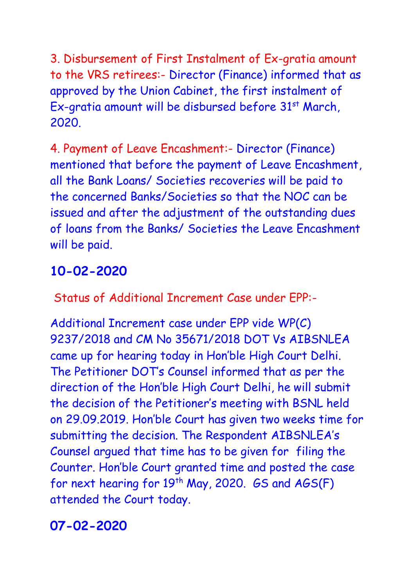3. Disbursement of First Instalment of Ex-gratia amount to the VRS retirees:- Director (Finance) informed that as approved by the Union Cabinet, the first instalment of Ex-gratia amount will be disbursed before 31<sup>st</sup> March, 2020.

4. Payment of Leave Encashment:- Director (Finance) mentioned that before the payment of Leave Encashment, all the Bank Loans/ Societies recoveries will be paid to the concerned Banks/Societies so that the NOC can be issued and after the adjustment of the outstanding dues of loans from the Banks/ Societies the Leave Encashment will be paid.

# **10-02-2020**

Status of Additional Increment Case under EPP:-

Additional Increment case under EPP vide WP(C) 9237/2018 and CM No 35671/2018 DOT Vs AIBSNLEA came up for hearing today in Hon'ble High Court Delhi. The Petitioner DOT's Counsel informed that as per the direction of the Hon'ble High Court Delhi, he will submit the decision of the Petitioner's meeting with BSNL held on 29.09.2019. Hon'ble Court has given two weeks time for submitting the decision. The Respondent AIBSNLEA's Counsel argued that time has to be given for filing the Counter. Hon'ble Court granted time and posted the case for next hearing for  $19^{th}$  May, 2020. *GS* and  $AGS(F)$ attended the Court today.

## **07-02-2020**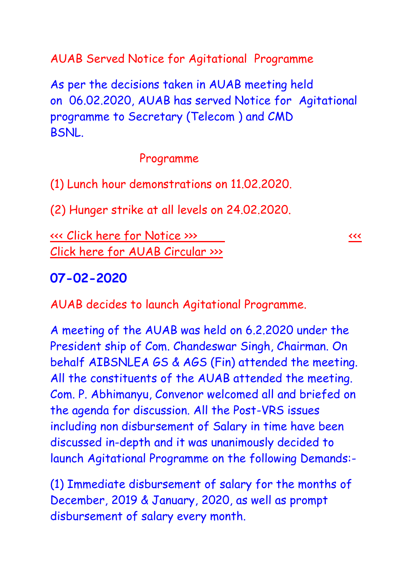AUAB Served Notice for Agitational Programme

As per the decisions taken in AUAB meeting held on 06.02.2020, AUAB has served Notice for Agitational programme to Secretary (Telecom ) and CMD BSNL.

#### Programme

(1) Lunch hour demonstrations on 11.02.2020.

(2) Hunger strike at all levels on 24.02.2020.

[<<< Click here for](http://www.aibsnleachq.in/AUAB%20notice.pdf) Notice >>> [<<<](http://www.aibsnleachq.in/AUAB%20circular.pdf)  Click here for [AUAB Circular >>>](http://www.aibsnleachq.in/AUAB%20circular.pdf)

#### **07-02-2020**

AUAB decides to launch Agitational Programme.

A meeting of the AUAB was held on 6.2.2020 under the President ship of Com. Chandeswar Singh, Chairman. On behalf AIBSNLEA GS & AGS (Fin) attended the meeting. All the constituents of the AUAB attended the meeting. Com. P. Abhimanyu, Convenor welcomed all and briefed on the agenda for discussion. All the Post-VRS issues including non disbursement of Salary in time have been discussed in-depth and it was unanimously decided to launch Agitational Programme on the following Demands:-

(1) Immediate disbursement of salary for the months of December, 2019 & January, 2020, as well as prompt disbursement of salary every month.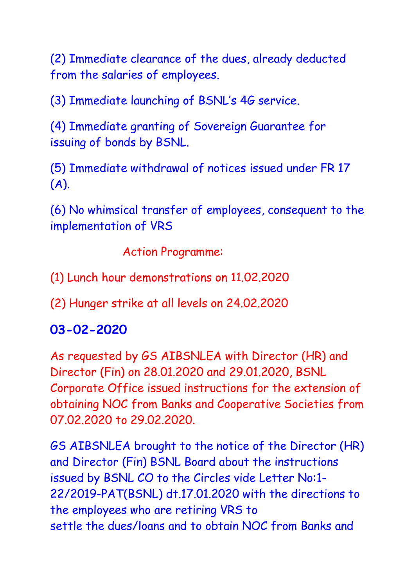(2) Immediate clearance of the dues, already deducted from the salaries of employees.

(3) Immediate launching of BSNL's 4G service.

(4) Immediate granting of Sovereign Guarantee for issuing of bonds by BSNL.

(5) Immediate withdrawal of notices issued under FR 17 (A).

(6) No whimsical transfer of employees, consequent to the implementation of VRS

Action Programme:

(1) Lunch hour demonstrations on 11.02.2020

(2) Hunger strike at all levels on 24.02.2020

## **03-02-2020**

As requested by GS AIBSNLEA with Director (HR) and Director (Fin) on 28.01.2020 and 29.01.2020, BSNL Corporate Office issued instructions for the extension of obtaining NOC from Banks and Cooperative Societies from 07.02.2020 to 29.02.2020.

GS AIBSNLEA brought to the notice of the Director (HR) and Director (Fin) BSNL Board about the instructions issued by BSNL CO to the Circles vide Letter No:1- 22/2019-PAT(BSNL) dt.17.01.2020 with the directions to the employees who are retiring VRS to settle the dues/loans and to obtain NOC from Banks and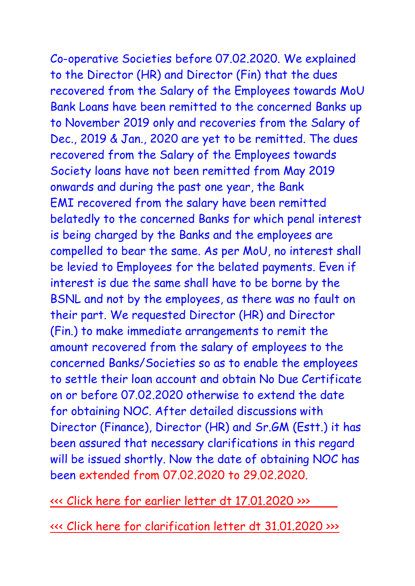Co-operative Societies before 07.02.2020. We explained to the Director (HR) and Director (Fin) that the dues recovered from the Salary of the Employees towards MoU Bank Loans have been remitted to the concerned Banks up to November 2019 only and recoveries from the Salary of Dec., 2019 & Jan., 2020 are yet to be remitted. The dues recovered from the Salary of the Employees towards Society loans have not been remitted from May 2019 onwards and during the past one year, the Bank EMI recovered from the salary have been remitted belatedly to the concerned Banks for which penal interest is being charged by the Banks and the employees are compelled to bear the same. As per MoU, no interest shall be levied to Employees for the belated payments. Even if interest is due the same shall have to be borne by the BSNL and not by the employees, as there was no fault on their part. We requested Director (HR) and Director (Fin.) to make immediate arrangements to remit the amount recovered from the salary of employees to the concerned Banks/Societies so as to enable the employees to settle their loan account and obtain No Due Certificate on or before 07.02.2020 otherwise to extend the date for obtaining NOC. After detailed discussions with Director (Finance), Director (HR) and Sr.GM (Estt.) it has been assured that necessary clarifications in this regard

will be issued shortly. Now the date of obtaining NOC has been extended from 07.02.2020 to 29.02.2020.

<<< Click here for [earlier letter dt 17.01.2020 >>>](http://www.aibsnleachq.in/NOC%20ltr%20dt%2017012020.pdf) 

<<< Click here for [clarification letter dt 31.01.2020 >>>](http://www.aibsnleachq.in/clerification%20for%20NOC%2031012020.pdf)